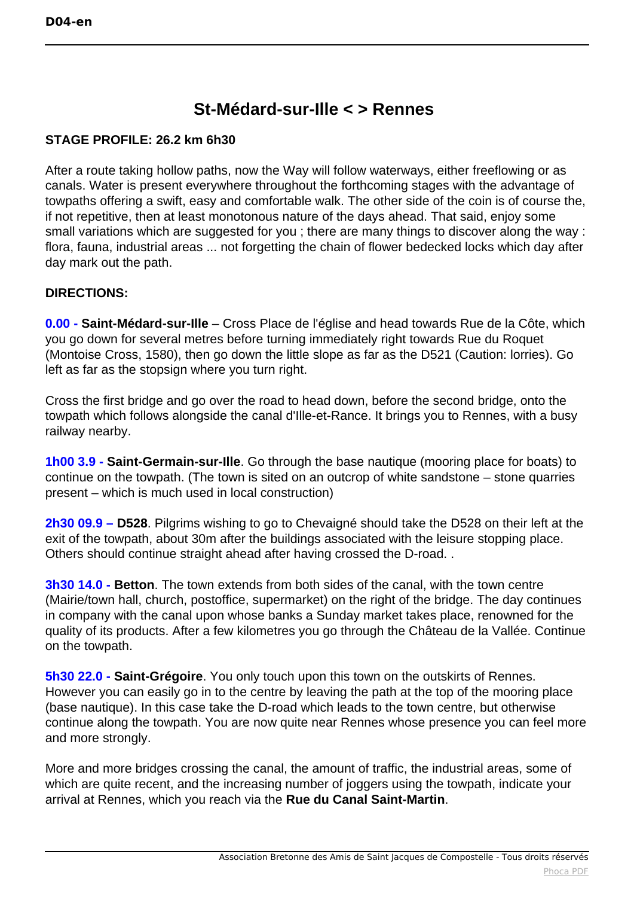## **St-Médard-sur-Ille < > Rennes**

## **STAGE PROFILE: 26.2 km 6h30**

After a route taking hollow paths, now the Way will follow waterways, either freeflowing or as canals. Water is present everywhere throughout the forthcoming stages with the advantage of towpaths offering a swift, easy and comfortable walk. The other side of the coin is of course the, if not repetitive, then at least monotonous nature of the days ahead. That said, enjoy some small variations which are suggested for you ; there are many things to discover along the way : flora, fauna, industrial areas ... not forgetting the chain of flower bedecked locks which day after day mark out the path.

## **DIRECTIONS:**

**0.00 - Saint-Médard-sur-Ille** – Cross Place de l'église and head towards Rue de la Côte, which you go down for several metres before turning immediately right towards Rue du Roquet (Montoise Cross, 1580), then go down the little slope as far as the D521 (Caution: lorries). Go left as far as the stopsign where you turn right.

Cross the first bridge and go over the road to head down, before the second bridge, onto the towpath which follows alongside the canal d'Ille-et-Rance. It brings you to Rennes, with a busy railway nearby.

**1h00 3.9 - Saint-Germain-sur-Ille**. Go through the base nautique (mooring place for boats) to continue on the towpath. (The town is sited on an outcrop of white sandstone – stone quarries present – which is much used in local construction)

**2h30 09.9 – D528**. Pilgrims wishing to go to Chevaigné should take the D528 on their left at the exit of the towpath, about 30m after the buildings associated with the leisure stopping place. Others should continue straight ahead after having crossed the D-road. .

**3h30 14.0 - Betton**. The town extends from both sides of the canal, with the town centre (Mairie/town hall, church, postoffice, supermarket) on the right of the bridge. The day continues in company with the canal upon whose banks a Sunday market takes place, renowned for the quality of its products. After a few kilometres you go through the Château de la Vallée. Continue on the towpath.

**5h30 22.0 - Saint-Grégoire**. You only touch upon this town on the outskirts of Rennes. However you can easily go in to the centre by leaving the path at the top of the mooring place (base nautique). In this case take the D-road which leads to the town centre, but otherwise continue along the towpath. You are now quite near Rennes whose presence you can feel more and more strongly.

More and more bridges crossing the canal, the amount of traffic, the industrial areas, some of which are quite recent, and the increasing number of joggers using the towpath, indicate your arrival at Rennes, which you reach via the **Rue du Canal Saint-Martin**.